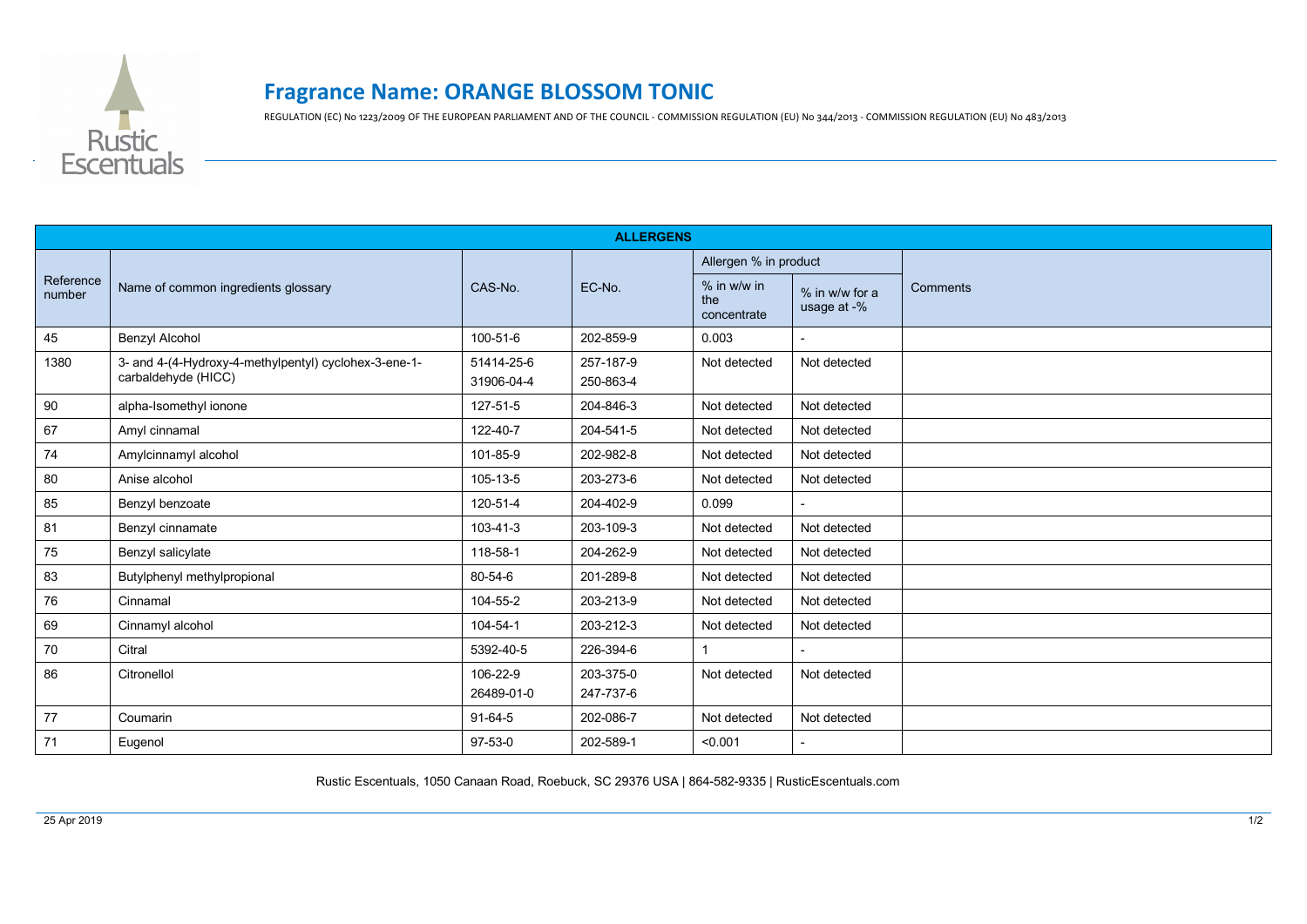

## **Fragrance Name: ORANGE BLOSSOM TONIC**

REGULATION (EC) No 1223/2009 OF THE EUROPEAN PARLIAMENT AND OF THE COUNCIL - COMMISSION REGULATION (EU) No 344/2013 - COMMISSION REGULATION (EU) No 483/2013

| <b>ALLERGENS</b>    |                                                                              |                          |                        |                                     |                               |                 |  |  |
|---------------------|------------------------------------------------------------------------------|--------------------------|------------------------|-------------------------------------|-------------------------------|-----------------|--|--|
| Reference<br>number | Name of common ingredients glossary                                          | CAS-No.                  | EC-No.                 | Allergen % in product               |                               |                 |  |  |
|                     |                                                                              |                          |                        | $%$ in w/w in<br>the<br>concentrate | % in w/w for a<br>usage at -% | <b>Comments</b> |  |  |
| 45                  | <b>Benzyl Alcohol</b>                                                        | 100-51-6                 | 202-859-9              | 0.003                               |                               |                 |  |  |
| 1380                | 3- and 4-(4-Hydroxy-4-methylpentyl) cyclohex-3-ene-1-<br>carbaldehyde (HICC) | 51414-25-6<br>31906-04-4 | 257-187-9<br>250-863-4 | Not detected                        | Not detected                  |                 |  |  |
| 90                  | alpha-Isomethyl ionone                                                       | 127-51-5                 | 204-846-3              | Not detected                        | Not detected                  |                 |  |  |
| 67                  | Amyl cinnamal                                                                | 122-40-7                 | 204-541-5              | Not detected                        | Not detected                  |                 |  |  |
| 74                  | Amylcinnamyl alcohol                                                         | 101-85-9                 | 202-982-8              | Not detected                        | Not detected                  |                 |  |  |
| 80                  | Anise alcohol                                                                | 105-13-5                 | 203-273-6              | Not detected                        | Not detected                  |                 |  |  |
| 85                  | Benzyl benzoate                                                              | 120-51-4                 | 204-402-9              | 0.099                               |                               |                 |  |  |
| 81                  | Benzyl cinnamate                                                             | $103 - 41 - 3$           | 203-109-3              | Not detected                        | Not detected                  |                 |  |  |
| 75                  | Benzyl salicylate                                                            | 118-58-1                 | 204-262-9              | Not detected                        | Not detected                  |                 |  |  |
| 83                  | Butylphenyl methylpropional                                                  | 80-54-6                  | 201-289-8              | Not detected                        | Not detected                  |                 |  |  |
| 76                  | Cinnamal                                                                     | 104-55-2                 | 203-213-9              | Not detected                        | Not detected                  |                 |  |  |
| 69                  | Cinnamyl alcohol                                                             | 104-54-1                 | 203-212-3              | Not detected                        | Not detected                  |                 |  |  |
| 70                  | Citral                                                                       | 5392-40-5                | 226-394-6              |                                     |                               |                 |  |  |
| 86                  | Citronellol                                                                  | 106-22-9<br>26489-01-0   | 203-375-0<br>247-737-6 | Not detected                        | Not detected                  |                 |  |  |
| 77                  | Coumarin                                                                     | $91-64-5$                | 202-086-7              | Not detected                        | Not detected                  |                 |  |  |
| 71                  | Eugenol                                                                      | 97-53-0                  | 202-589-1              | < 0.001                             |                               |                 |  |  |

Rustic Escentuals, 1050 Canaan Road, Roebuck, SC 29376 USA | 864-582-9335 | RusticEscentuals.com